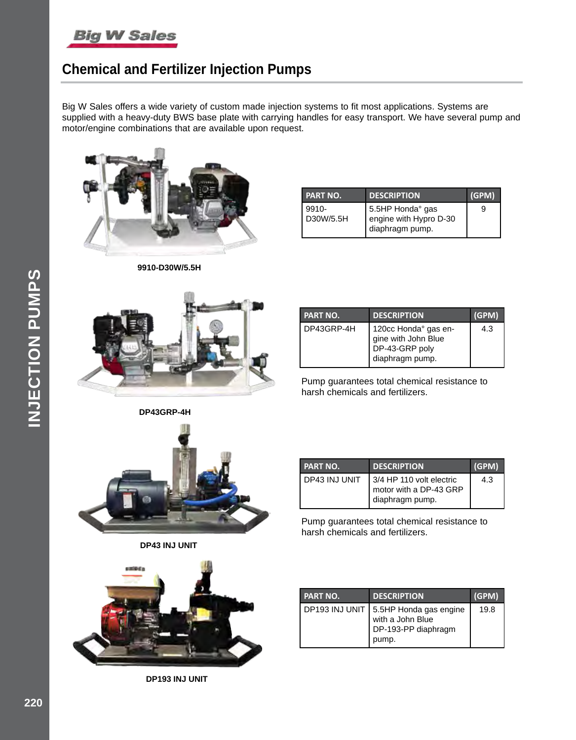

## **Chemical and Fertilizer Injection Pumps**

Big W Sales offers a wide variety of custom made injection systems to fit most applications. Systems are supplied with a heavy-duty BWS base plate with carrying handles for easy transport. We have several pump and motor/engine combinations that are available upon request.



**9910-D30W/5.5H**

| <b>PART NO.</b>       | <b>DESCRIPTION</b>                                            | (GPM) |
|-----------------------|---------------------------------------------------------------|-------|
| $9910 -$<br>D30W/5.5H | 5.5HP Honda° gas<br>engine with Hypro D-30<br>diaphragm pump. | 9     |



| <b>PART NO.</b> | <b>DESCRIPTION</b>                                                               | (GPM) |
|-----------------|----------------------------------------------------------------------------------|-------|
| DP43GRP-4H      | 120cc Honda° gas en-<br>gine with John Blue<br>DP-43-GRP poly<br>diaphragm pump. | 4.3   |

Pump guarantees total chemical resistance to harsh chemicals and fertilizers.





**DP43 INJ UNIT**



Pump guarantees total chemical resistance to harsh chemicals and fertilizers.



**DP193 INJ UNIT**

| I PART NO.     | <b>DESCRIPTION</b>                                                         | (GPM) |
|----------------|----------------------------------------------------------------------------|-------|
| DP193 INJ UNIT | 5.5HP Honda gas engine<br>with a John Blue<br>DP-193-PP diaphragm<br>pump. | 19.8  |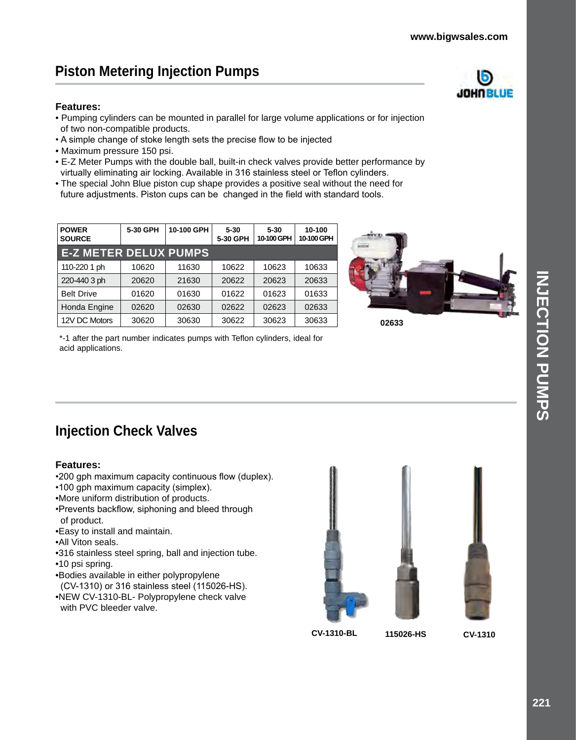JOHNBLUE

# **Piston Metering Injection Pumps**

### **Features:**

- Pumping cylinders can be mounted in parallel for large volume applications or for injection of two non-compatible products.
- A simple change of stoke length sets the precise flow to be injected
- Maximum pressure 150 psi.
- E-Z Meter Pumps with the double ball, built-in check valves provide better performance by virtually eliminating air locking. Available in 316 stainless steel or Teflon cylinders.
- The special John Blue piston cup shape provides a positive seal without the need for future adjustments. Piston cups can be changed in the field with standard tools.

| <b>POWER</b><br><b>SOURCE</b> | 5-30 GPH | 10-100 GPH | $5 - 30$<br>5-30 GPH | $5 - 30$<br>10-100 GPH | 10-100<br>10-100 GPH |
|-------------------------------|----------|------------|----------------------|------------------------|----------------------|
| <b>E-Z METER DELUX PUMPS</b>  |          |            |                      |                        |                      |
| 110-220 1 ph                  | 10620    | 11630      | 10622                | 10623                  | 10633                |
| 220-440 3 ph                  | 20620    | 21630      | 20622                | 20623                  | 20633                |
| <b>Belt Drive</b>             | 01620    | 01630      | 01622                | 01623                  | 01633                |
| Honda Engine                  | 02620    | 02630      | 02622                | 02623                  | 02633                |
| 12V DC Motors                 | 30620    | 30630      | 30622                | 30623                  | 30633                |



\*-1 after the part number indicates pumps with Teflon cylinders, ideal for acid applications.

# **Injection Check Valves**

### **Features:**

- •200 gph maximum capacity continuous flow (duplex).
- •100 gph maximum capacity (simplex).
- •More uniform distribution of products.
- •Prevents backflow, siphoning and bleed through of product.
- •Easy to install and maintain.
- •All Viton seals.
- •316 stainless steel spring, ball and injection tube.
- •10 psi spring.
- •Bodies available in either polypropylene
- (CV-1310) or 316 stainless steel (115026-HS). •NEW CV-1310-BL- Polypropylene check valve
- with PVC bleeder valve.



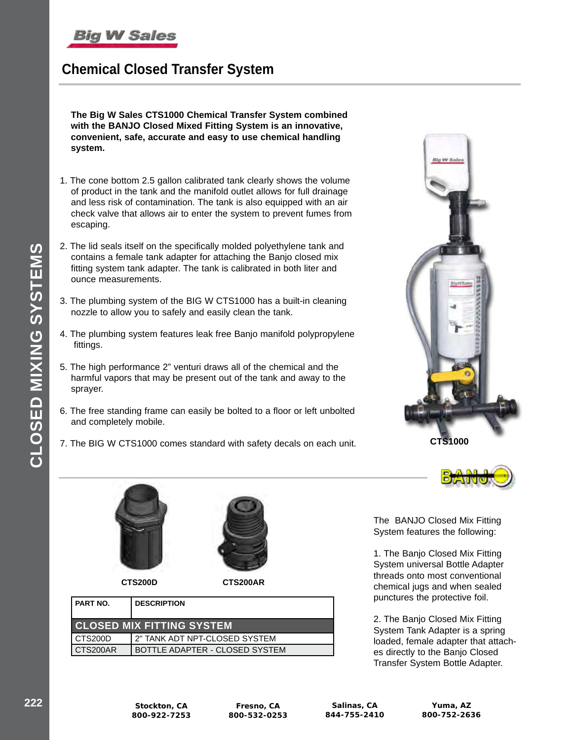# **Chemical Closed Transfer System**

**The Big W Sales CTS1000 Chemical Transfer System combined with the BANJO Closed Mixed Fitting System is an innovative, convenient, safe, accurate and easy to use chemical handling system.**

- 1. The cone bottom 2.5 gallon calibrated tank clearly shows the volume of product in the tank and the manifold outlet allows for full drainage and less risk of contamination. The tank is also equipped with an air check valve that allows air to enter the system to prevent fumes from escaping.
- 2. The lid seals itself on the specifically molded polyethylene tank and contains a female tank adapter for attaching the Banjo closed mix fitting system tank adapter. The tank is calibrated in both liter and ounce measurements.
- 3. The plumbing system of the BIG W CTS1000 has a built-in cleaning nozzle to allow you to safely and easily clean the tank.
- 4. The plumbing system features leak free Banjo manifold polypropylene fittings.
- 5. The high performance 2" venturi draws all of the chemical and the harmful vapors that may be present out of the tank and away to the sprayer.
- 6. The free standing frame can easily be bolted to a floor or left unbolted and completely mobile.
- 7. The BIG W CTS1000 comes standard with safety decals on each unit.





**CTS200D CTS200AR**

| PART NO.                         | <b>DESCRIPTION</b>             |  |
|----------------------------------|--------------------------------|--|
| <b>CLOSED MIX FITTING SYSTEM</b> |                                |  |
| CTS200D                          | 2" TANK ADT NPT-CLOSED SYSTEM  |  |
| CTS200AR                         | BOTTLE ADAPTER - CLOSED SYSTEM |  |

The BANJO Closed Mix Fitting System features the following:

1. The Banjo Closed Mix Fitting System universal Bottle Adapter threads onto most conventional chemical jugs and when sealed punctures the protective foil.

2. The Banjo Closed Mix Fitting System Tank Adapter is a spring loaded, female adapter that attaches directly to the Banjo Closed Transfer System Bottle Adapter.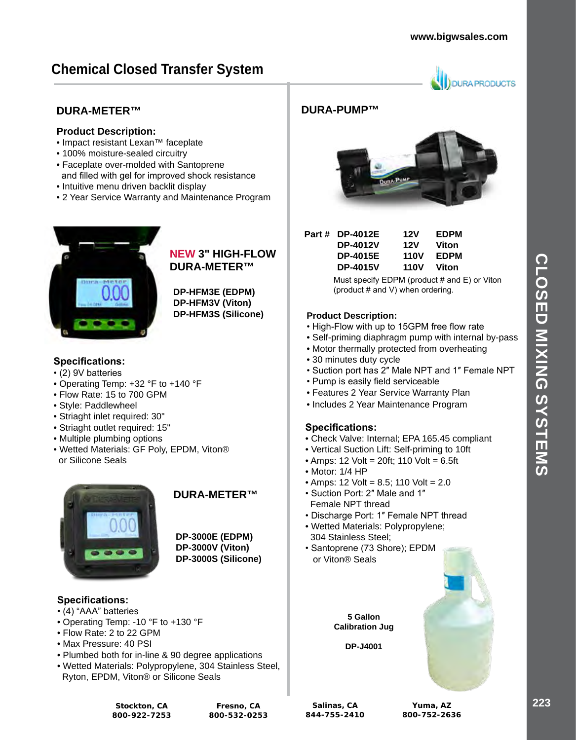**URA PRODUCTS** 

# **Chemical Closed Transfer System**

### **DURA-METER™**

### **Product Description:**

- Impact resistant Lexan™ faceplate
- 100% moisture-sealed circuitry
- Faceplate over-molded with Santoprene and filled with gel for improved shock resistance
- Intuitive menu driven backlit display
- 2 Year Service Warranty and Maintenance Program



### **NEW 3" HIGH-FLOW DURA-METER™**

**DP-HFM3E (EDPM) DP-HFM3V (Viton) DP-HFM3S (Silicone)**

### **Specifications:**

- (2) 9V batteries
- Operating Temp: +32 °F to +140 °F
- Flow Rate: 15 to 700 GPM
- Style: Paddlewheel
- Striaght inlet required: 30"
- Striaght outlet required: 15"
- Multiple plumbing options
- Wetted Materials: GF Poly, EPDM, Viton® or Silicone Seals



### **DURA-METER™**

**DP-3000E (EDPM) DP-3000V (Viton) DP-3000S (Silicone)**

### **Specifications:**

- (4) "AAA" batteries
- Operating Temp: -10 °F to +130 °F
- Flow Rate: 2 to 22 GPM
- Max Pressure: 40 PSI
- Plumbed both for in-line & 90 degree applications
- Wetted Materials: Polypropylene, 304 Stainless Steel, Ryton, EPDM, Viton® or Silicone Seals

### **DURA-PUMP™**



| Part # DP-4012E | 12V         | <b>EDPM</b> |
|-----------------|-------------|-------------|
| <b>DP-4012V</b> | 12V         | Viton       |
| <b>DP-4015E</b> | <b>110V</b> | <b>EDPM</b> |
| <b>DP-4015V</b> | <b>110V</b> | Viton       |

Must specify EDPM (product # and E) or Viton (product # and V) when ordering.

### **Product Description:**

- High-Flow with up to 15GPM free flow rate
- Self-priming diaphragm pump with internal by-pass
- Motor thermally protected from overheating
- 30 minutes duty cycle
- Suction port has 2″ Male NPT and 1″ Female NPT
- Pump is easily field serviceable
- Features 2 Year Service Warranty Plan
- Includes 2 Year Maintenance Program

### **Specifications:**

- Check Valve: Internal; EPA 165.45 compliant
- Vertical Suction Lift: Self-priming to 10ft
- $\bullet$  Amps: 12 Volt = 20ft; 110 Volt = 6.5ft
- Motor: 1/4 HP
- Amps: 12 Volt = 8.5; 110 Volt = 2.0
- Suction Port: 2″ Male and 1″ Female NPT thread
- Discharge Port: 1″ Female NPT thread
- Wetted Materials: Polypropylene; 304 Stainless Steel;
- Santoprene (73 Shore); EPDM or Viton® Seals

**5 Gallon Calibration Jug**

**DP-J4001**



**Stockton, CA 800-922-7253**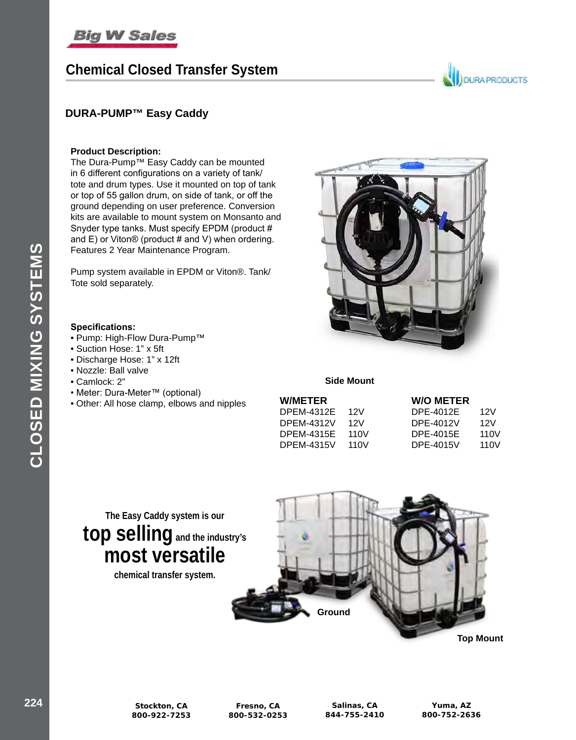# **Chemical Closed Transfer System**

# **JOURA PRODUCTS**

### **DURA-PUMP™ Easy Caddy**

#### **Product Description:**

The Dura-Pump™ Easy Caddy can be mounted in 6 different configurations on a variety of tank/ tote and drum types. Use it mounted on top of tank or top of 55 gallon drum, on side of tank, or off the ground depending on user preference. Conversion kits are available to mount system on Monsanto and Snyder type tanks. Must specify EPDM (product # and E) or Viton® (product # and V) when ordering. Features 2 Year Maintenance Program.

Pump system available in EPDM or Viton®. Tank/ Tote sold separately.

#### **Specifications:**

- Pump: High-Flow Dura-Pump™
- Suction Hose: 1" x 5ft
- Discharge Hose: 1" x 12ft
- Nozzle: Ball valve
- Camlock: 2"
- Meter: Dura-Meter™ (optional)
- Other: All hose clamp, elbows and nipples



**Side Mount**

|      | <b>W/O METER</b> |                   |
|------|------------------|-------------------|
| 12V  | DPE-4012E        | 12V               |
| 12V  | DPE-4012V        | 12V               |
| 110V | <b>DPE-4015E</b> | 11 <sub>0</sub> V |
| 110V | DPE-4015V        | 110V              |
|      |                  |                   |



**chemical transfer system.** 

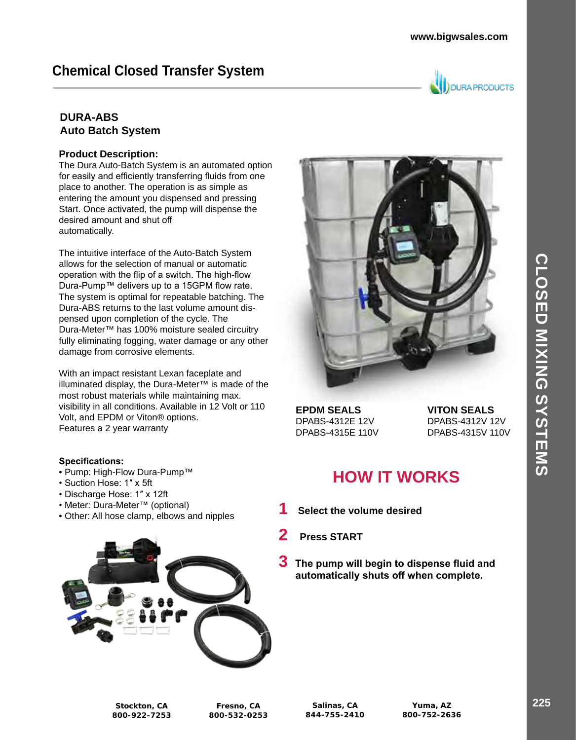# **Chemical Closed Transfer System**



### **DURA-ABS Auto Batch System**

### **Product Description:**

The Dura Auto-Batch System is an automated option for easily and efficiently transferring fluids from one place to another. The operation is as simple as entering the amount you dispensed and pressing Start. Once activated, the pump will dispense the desired amount and shut off automatically.

The intuitive interface of the Auto-Batch System allows for the selection of manual or automatic operation with the flip of a switch. The high-flow Dura-Pump™ delivers up to a 15GPM flow rate. The system is optimal for repeatable batching. The Dura-ABS returns to the last volume amount dispensed upon completion of the cycle. The Dura-Meter™ has 100% moisture sealed circuitry fully eliminating fogging, water damage or any other damage from corrosive elements.

With an impact resistant Lexan faceplate and illuminated display, the Dura-Meter™ is made of the most robust materials while maintaining max. visibility in all conditions. Available in 12 Volt or 110 Volt, and EPDM or Viton® options. Features a 2 year warranty

### **Specifications:**

- Pump: High-Flow Dura-Pump™
- Suction Hose: 1″ x 5ft
- Discharge Hose: 1″ x 12ft
- Meter: Dura-Meter™ (optional)
- Other: All hose clamp, elbows and nipples





**EPDM SEALS VITON SEALS** DPABS-4312E 12V DPABS-4312V 12V

DPABS-4315E 110V DPABS-4315V 110V

# **HOW IT WORKS**

- **1 Select the volume desired**
- **2 Press START**
- **3 The pump will begin to dispense fluid and automatically shuts off when complete.**

**Stockton, CA 800-922-7253**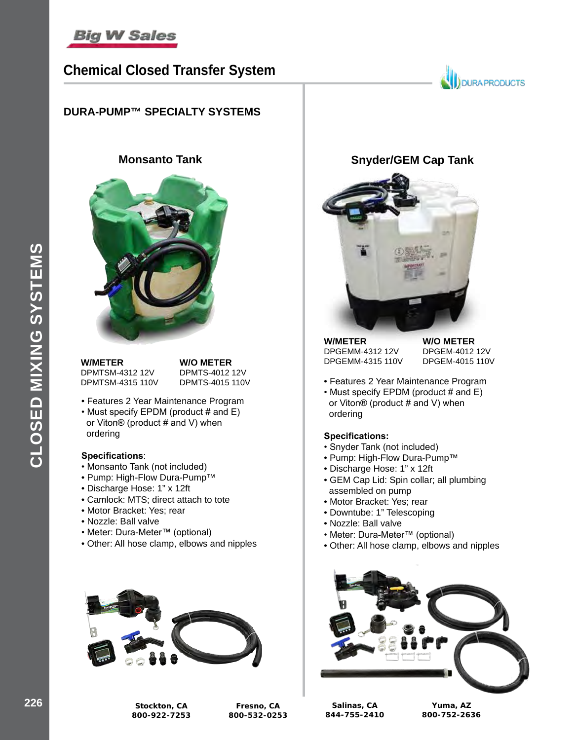

## **Chemical Closed Transfer System**

### **DURA-PUMP™ SPECIALTY SYSTEMS**



**W/METER W/O METER**<br>DPMTSM-4312 12V DPMTS-4012 12V DPMTSM-4312 12V DPMTSM-4315 110V DPMTS-4015 110V

- Features 2 Year Maintenance Program
- Must specify EPDM (product # and E) or Viton® (product # and V) when ordering

#### **Specifications**:

- Monsanto Tank (not included)
- Pump: High-Flow Dura-Pump™
- Discharge Hose: 1" x 12ft
- Camlock: MTS; direct attach to tote
- Motor Bracket: Yes; rear
- Nozzle: Ball valve
- Meter: Dura-Meter™ (optional)
- Other: All hose clamp, elbows and nipples



## **Monsanto Tank Snyder/GEM Cap Tank**



**W/METER W/O METER**<br>DPGEMM-4312 12V DPGEM-4012 12V DPGEMM-4312 12V

DPGEMM-4315 110V DPGEM-4015 110V

**JOURA PRODUCTS** 

- Features 2 Year Maintenance Program
- Must specify EPDM (product # and E) or Viton® (product # and V) when ordering

#### **Specifications:**

- Snyder Tank (not included)
- Pump: High-Flow Dura-Pump™
- Discharge Hose: 1" x 12ft
- GEM Cap Lid: Spin collar; all plumbing assembled on pump
- Motor Bracket: Yes; rear
- Downtube: 1" Telescoping
- Nozzle: Ball valve
- Meter: Dura-Meter™ (optional)
- Other: All hose clamp, elbows and nipples



**226 Stockton, CA 800-922-7253**

**Fresno, CA 800-532-0253**

**Salinas, CA 844-755-2410**

**Yuma, AZ 800-752-2636**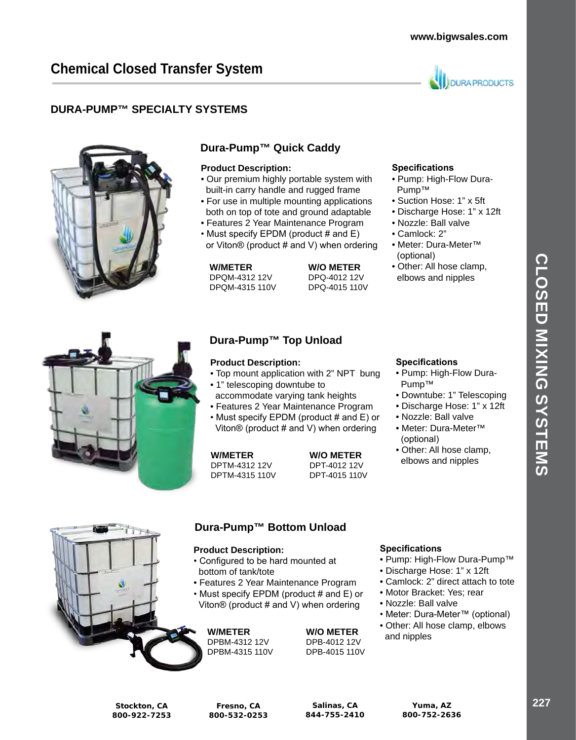

### **DURA-PUMP™ SPECIALTY SYSTEMS**



### **Dura-Pump™ Quick Caddy**

#### **Product Description:**

- Our premium highly portable system with built-in carry handle and rugged frame
- For use in multiple mounting applications both on top of tote and ground adaptable
- Features 2 Year Maintenance Program
- Must specify EPDM (product # and E) or Viton® (product # and V) when ordering

DPQM-4312 12V DPQ-4012 12V DPQM-4315 110V

**W/METER W/O METER**<br>DPQM-4312 12V DPQ-4012 12V



### **Dura-Pump™ Top Unload**

### **Product Description:**

- Top mount application with 2" NPT bung
- 1" telescoping downtube to accommodate varying tank heights
- Features 2 Year Maintenance Program
- Must specify EPDM (product # and E) or Viton® (product # and V) when ordering

DPTM-4312 12V DPT-4012 12V DPTM-4315 110V DPT-4015 110V

**W/METER W/O METER**

### **Specifications**

- Pump: High-Flow Dura- Pump™
- Suction Hose: 1" x 5ft
- Discharge Hose: 1" x 12ft
- Nozzle: Ball valve
- Camlock: 2"
- Meter: Dura-Meter™ (optional)
- Other: All hose clamp, elbows and nipples



- Pump: High-Flow Dura- Pump™
- Downtube: 1" Telescoping
- Discharge Hose: 1" x 12ft
- Nozzle: Ball valve
- Meter: Dura-Meter™ (optional)
- Other: All hose clamp, elbows and nipples



### **Dura-Pump™ Bottom Unload**

#### **Product Description:**

- Configured to be hard mounted at bottom of tank/tote
- Features 2 Year Maintenance Program
- Must specify EPDM (product # and E) or Viton® (product # and V) when ordering

DPBM-4312 12V DPB-4012 12V<br>DPBM-4315 110V DPB-4015 110V DPBM-4315 110V

**W/METER W/O METER**<br>DPBM-4312 12V DPB-4012 12V

### **Specifications**

- Pump: High-Flow Dura-Pump™
- Discharge Hose: 1" x 12ft
- Camlock: 2" direct attach to tote
- Motor Bracket: Yes; rear
- Nozzle: Ball valve
- Meter: Dura-Meter™ (optional)
- Other: All hose clamp, elbows and nipples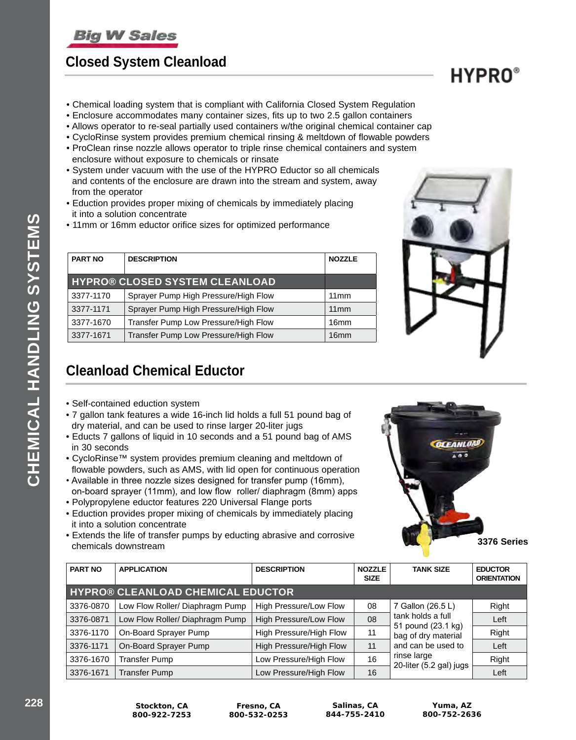# **Closed System Cleanload**

**CHEMICAL HANDLING SYSTEMS**

CHEMICAL HANDLING SYSTEMS

- Chemical loading system that is compliant with California Closed System Regulation
- Enclosure accommodates many container sizes, fits up to two 2.5 gallon containers
- Allows operator to re-seal partially used containers w/the original chemical container cap
- CycloRinse system provides premium chemical rinsing & meltdown of flowable powders
- ProClean rinse nozzle allows operator to triple rinse chemical containers and system enclosure without exposure to chemicals or rinsate
- System under vacuum with the use of the HYPRO Eductor so all chemicals and contents of the enclosure are drawn into the stream and system, away from the operator
- Eduction provides proper mixing of chemicals by immediately placing it into a solution concentrate
- 11mm or 16mm eductor orifice sizes for optimized performance

| <b>PART NO</b> | <b>DESCRIPTION</b>                    | <b>NOZZLE</b>    |
|----------------|---------------------------------------|------------------|
|                | <b>HYPRO® CLOSED SYSTEM CLEANLOAD</b> |                  |
| 3377-1170      | Sprayer Pump High Pressure/High Flow  | 11mm             |
| 3377-1171      | Sprayer Pump High Pressure/High Flow  | 11mm             |
| 3377-1670      | Transfer Pump Low Pressure/High Flow  | 16 <sub>mm</sub> |
| 3377-1671      | Transfer Pump Low Pressure/High Flow  | 16mm             |



# **Cleanload Chemical Eductor**

- Self-contained eduction system
- 7 gallon tank features a wide 16-inch lid holds a full 51 pound bag of dry material, and can be used to rinse larger 20-liter jugs
- Educts 7 gallons of liquid in 10 seconds and a 51 pound bag of AMS in 30 seconds
- CycloRinse™ system provides premium cleaning and meltdown of flowable powders, such as AMS, with lid open for continuous operation
- Available in three nozzle sizes designed for transfer pump (16mm), on-board sprayer (11mm), and low flow roller/ diaphragm (8mm) apps
- Polypropylene eductor features 220 Universal Flange ports
- Eduction provides proper mixing of chemicals by immediately placing it into a solution concentrate
- Extends the life of transfer pumps by educting abrasive and corrosive **CALCIUS THE MICHAEL DISPONSITE:** DRIVING BUT AND THE CHANGE OF THE CHANGE OF THE CHANGE OF THE CHANGE OF THE CHANGE OF THE CHANGE OF THE CHANGE OF THE CHANGE OF THE CHANGE OF THE CHANGE OF THE CHANGE OF THE CHANGE OF THE



| <b>PART NO</b> | <b>APPLICATION</b>                       | <b>DESCRIPTION</b>            | <b>NOZZLE</b><br><b>SIZE</b> | <b>TANK SIZE</b>                                               | <b>EDUCTOR</b><br><b>ORIENTATION</b> |
|----------------|------------------------------------------|-------------------------------|------------------------------|----------------------------------------------------------------|--------------------------------------|
|                | <b>HYPRO® CLEANLOAD CHEMICAL EDUCTOR</b> |                               |                              |                                                                |                                      |
| 3376-0870      | Low Flow Roller/ Diaphragm Pump          | High Pressure/Low Flow        | 08                           | 7 Gallon (26.5 L)                                              | Right                                |
| 3376-0871      | Low Flow Roller/ Diaphragm Pump          | <b>High Pressure/Low Flow</b> | 08                           | tank holds a full<br>51 pound (23.1 kg)<br>bag of dry material | Left                                 |
| 3376-1170      | On-Board Sprayer Pump                    | High Pressure/High Flow       | 11                           |                                                                | Right                                |
| 3376-1171      | On-Board Sprayer Pump                    | High Pressure/High Flow       | 11                           | and can be used to                                             | Left                                 |
| 3376-1670      | <b>Transfer Pump</b>                     | Low Pressure/High Flow        | 16                           | rinse large<br>20-liter (5.2 gal) jugs                         | Right                                |
| 3376-1671      | <b>Transfer Pump</b>                     | Low Pressure/High Flow        | 16                           |                                                                | Left                                 |

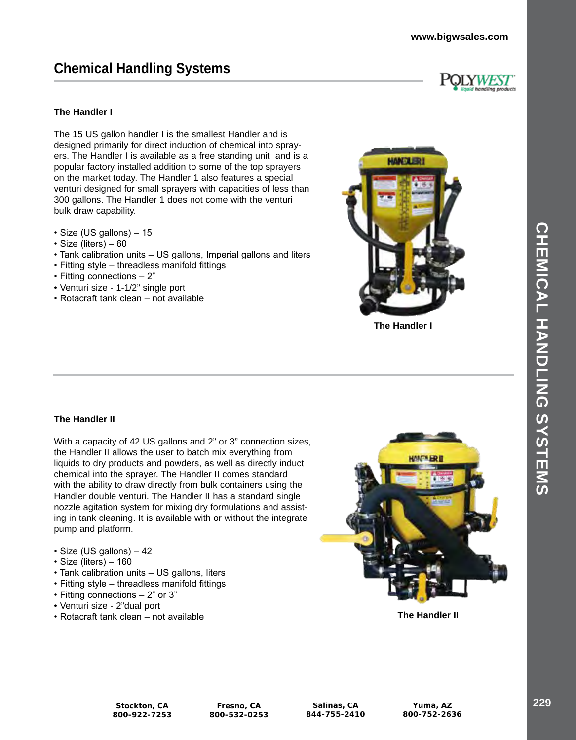# **Chemical Handling Systems**

#### **The Handler I**

The 15 US gallon handler I is the smallest Handler and is designed primarily for direct induction of chemical into sprayers. The Handler I is available as a free standing unit and is a popular factory installed addition to some of the top sprayers on the market today. The Handler 1 also features a special venturi designed for small sprayers with capacities of less than 300 gallons. The Handler 1 does not come with the venturi bulk draw capability.

- Size (US gallons) 15
- Size (liters) 60
- Tank calibration units US gallons, Imperial gallons and liters
- Fitting style threadless manifold fittings
- Fitting connections 2"
- Venturi size 1-1/2" single port
- Rotacraft tank clean not available



**The Handler I**

#### **The Handler II**

With a capacity of 42 US gallons and 2" or 3" connection sizes, the Handler II allows the user to batch mix everything from liquids to dry products and powders, as well as directly induct chemical into the sprayer. The Handler II comes standard with the ability to draw directly from bulk containers using the Handler double venturi. The Handler II has a standard single nozzle agitation system for mixing dry formulations and assisting in tank cleaning. It is available with or without the integrate pump and platform.

- Size (US gallons) 42
- Size (liters) 160
- Tank calibration units US gallons, liters
- Fitting style threadless manifold fittings
- Fitting connections 2" or 3"
- Venturi size 2"dual port
- Rotacraft tank clean not available



**The Handler II**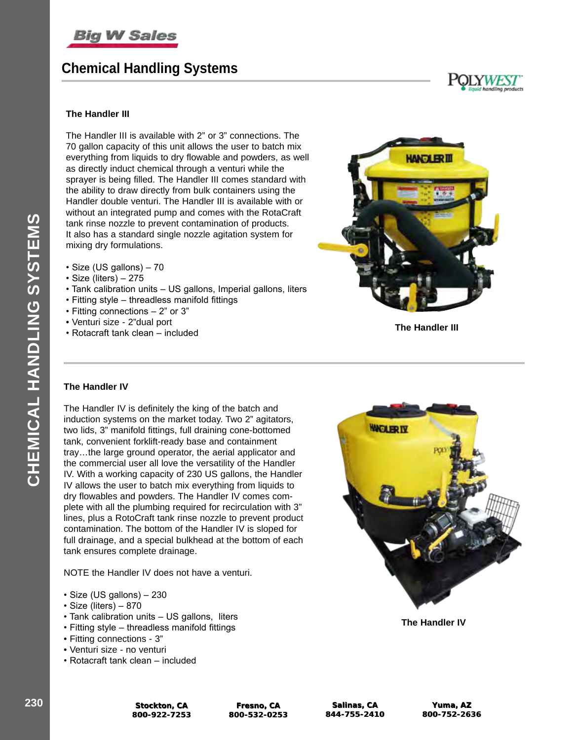

# **Chemical Handling Systems**





#### **The Handler III**

The Handler III is available with 2" or 3" connections. The 70 gallon capacity of this unit allows the user to batch mix everything from liquids to dry flowable and powders, as well as directly induct chemical through a venturi while the sprayer is being filled. The Handler III comes standard with the ability to draw directly from bulk containers using the Handler double venturi. The Handler III is available with or without an integrated pump and comes with the RotaCraft tank rinse nozzle to prevent contamination of products. It also has a standard single nozzle agitation system for mixing dry formulations.

- Size (US gallons) 70
- Size (liters) 275
- Tank calibration units US gallons, Imperial gallons, liters
- Fitting style threadless manifold fittings
- Fitting connections 2" or 3"
- Venturi size 2"dual port
- venturi size 2 dual port<br>• Rotacraft tank clean included **The Handler III**



#### **The Handler IV**

The Handler IV is definitely the king of the batch and induction systems on the market today. Two 2" agitators, two lids, 3" manifold fittings, full draining cone-bottomed tank, convenient forklift-ready base and containment tray…the large ground operator, the aerial applicator and the commercial user all love the versatility of the Handler IV. With a working capacity of 230 US gallons, the Handler IV allows the user to batch mix everything from liquids to dry flowables and powders. The Handler IV comes complete with all the plumbing required for recirculation with 3" lines, plus a RotoCraft tank rinse nozzle to prevent product contamination. The bottom of the Handler IV is sloped for full drainage, and a special bulkhead at the bottom of each tank ensures complete drainage.

NOTE the Handler IV does not have a venturi.

- Size (US gallons) 230
- Size (liters) 870
- Tank calibration units US gallons, liters
- Fitting style threadless manifold fittings
- Fitting connections 3"
- Venturi size no venturi
- Rotacraft tank clean included



**The Handler IV**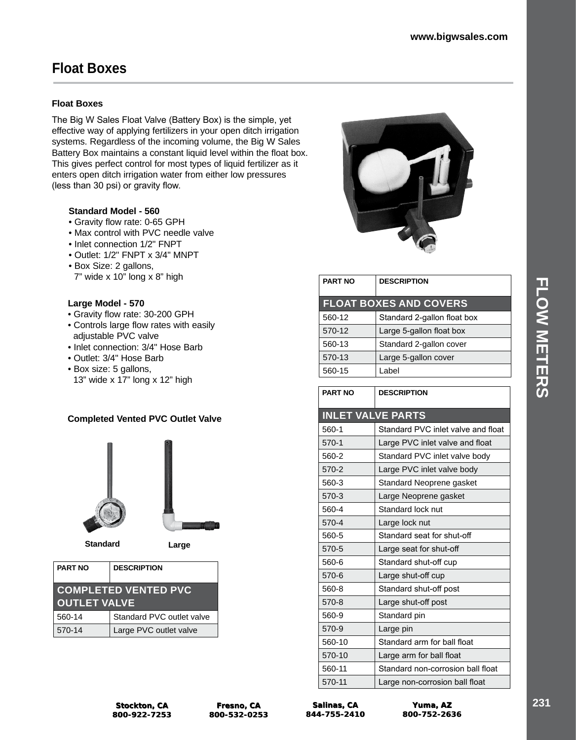# **Float Boxes**

### **Float Boxes**

The Big W Sales Float Valve (Battery Box) is the simple, yet effective way of applying fertilizers in your open ditch irrigation systems. Regardless of the incoming volume, the Big W Sales Battery Box maintains a constant liquid level within the float box. This gives perfect control for most types of liquid fertilizer as it enters open ditch irrigation water from either low pressures (less than 30 psi) or gravity flow.

### **Standard Model - 560**

- Gravity flow rate: 0-65 GPH
- Max control with PVC needle valve
- Inlet connection 1/2" FNPT
- Outlet: 1/2" FNPT x 3/4" MNPT
- Box Size: 2 gallons, 7" wide x 10" long x 8" high

### **Large Model - 570**

- Gravity flow rate: 30-200 GPH
- Controls large flow rates with easily adjustable PVC valve
- Inlet connection: 3/4" Hose Barb
- Outlet: 3/4" Hose Barb
- Box size: 5 gallons,
- 13" wide x 17" long x 12" high

### **Completed Vented PVC Outlet Valve**





**Standard Large**

| <b>PART NO</b>                                     | <b>DESCRIPTION</b>        |  |
|----------------------------------------------------|---------------------------|--|
| <b>COMPLETED VENTED PVC</b><br><b>OUTLET VALVE</b> |                           |  |
| 560-14                                             | Standard PVC outlet valve |  |
| 570-14                                             | Large PVC outlet valve    |  |



| <b>PART NO</b> | <b>DESCRIPTION</b>            |  |
|----------------|-------------------------------|--|
|                | <b>FLOAT BOXES AND COVERS</b> |  |
| 560-12         | Standard 2-gallon float box   |  |
| 570-12         | Large 5-gallon float box      |  |
| 560-13         | Standard 2-gallon cover       |  |
| 570-13         | Large 5-gallon cover          |  |
| 560-15         | Label                         |  |

| <b>PART NO</b> | <b>DESCRIPTION</b>                 |
|----------------|------------------------------------|
|                | <b>INLET VALVE PARTS</b>           |
| 560-1          | Standard PVC inlet valve and float |
| 570-1          | Large PVC inlet valve and float    |
| 560-2          | Standard PVC inlet valve body      |
| 570-2          | Large PVC inlet valve body         |
| 560-3          | Standard Neoprene gasket           |
| 570-3          | Large Neoprene gasket              |
| 560-4          | Standard lock nut                  |
| 570-4          | Large lock nut                     |
| 560-5          | Standard seat for shut-off         |
| 570-5          | Large seat for shut-off            |
| 560-6          | Standard shut-off cup              |
| 570-6          | Large shut-off cup                 |
| 560-8          | Standard shut-off post             |
| 570-8          | Large shut-off post                |
| 560-9          | Standard pin                       |
| 570-9          | Large pin                          |
| 560-10         | Standard arm for ball float        |
| 570-10         | Large arm for ball float           |
| 560-11         | Standard non-corrosion ball float  |
| 570-11         | Large non-corrosion ball float     |

| <b>Stockton, CA</b> |
|---------------------|
| 800-922-7253        |

**Salinas, CA 844-755-2410**

**Yuma, AZ Yuma, AZ 800-752-2636 800-752-2636**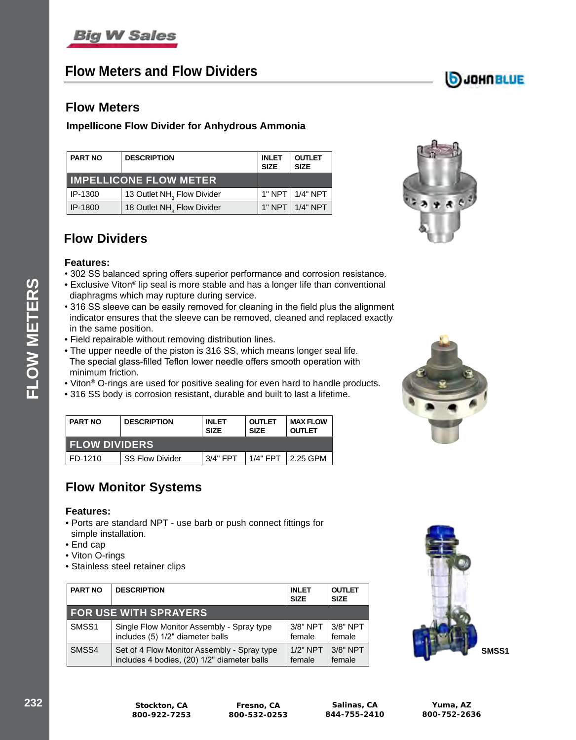# **Flow Meters and Flow Dividers**

# **DJOHNBLUE**

### **Flow Meters**

### **Impellicone Flow Divider for Anhydrous Ammonia**

| <b>PART NO</b>                | <b>DESCRIPTION</b><br><b>INLET</b><br><b>SIZE</b> |  | <b>OUTLET</b><br><b>SIZE</b> |
|-------------------------------|---------------------------------------------------|--|------------------------------|
| <b>IMPELLICONE FLOW METER</b> |                                                   |  |                              |
| IP-1300                       | 13 Outlet NH <sub>3</sub> Flow Divider            |  | 1" NPT   1/4" NPT            |
| IP-1800                       | 18 Outlet NH <sub>3</sub> Flow Divider            |  | $1"$ NPT $  1/4"$ NPT        |



## **Flow Dividers**

### **Features:**

- 302 SS balanced spring offers superior performance and corrosion resistance.
- Exclusive Viton® lip seal is more stable and has a longer life than conventional diaphragms which may rupture during service.
- 316 SS sleeve can be easily removed for cleaning in the field plus the alignment indicator ensures that the sleeve can be removed, cleaned and replaced exactly in the same position.
- Field repairable without removing distribution lines.
- The upper needle of the piston is 316 SS, which means longer seal life. The special glass-filled Teflon lower needle offers smooth operation with minimum friction.
- Viton® O-rings are used for positive sealing for even hard to handle products.
- 316 SS body is corrosion resistant, durable and built to last a lifetime.

| <b>PART NO</b>       | <b>DESCRIPTION</b>     | <b>INLET</b><br><b>SIZE</b> | <b>OUTLET</b><br><b>SIZE</b> | <b>MAX FLOW</b><br><b>OUTLET</b> |  |
|----------------------|------------------------|-----------------------------|------------------------------|----------------------------------|--|
| <b>FLOW DIVIDERS</b> |                        |                             |                              |                                  |  |
| FD-1210              | <b>SS Flow Divider</b> | 3/4" FPT                    | $1/4"$ FPT                   | $\sqrt{2.25}$ GPM                |  |

## **Flow Monitor Systems**

### **Features:**

- Ports are standard NPT use barb or push connect fittings for simple installation.
- End cap
- Viton O-rings
- Stainless steel retainer clips

| <b>PART NO</b>    | <b>DESCRIPTION</b>                          | <b>INLET</b><br><b>SIZE</b> | <b>OUTLET</b><br><b>SIZE</b> |
|-------------------|---------------------------------------------|-----------------------------|------------------------------|
|                   | <b>FOR USE WITH SPRAYERS</b>                |                             |                              |
| SMSS <sub>1</sub> | Single Flow Monitor Assembly - Spray type   | $3/8"$ NPT                  | $3/8"$ NPT                   |
|                   | includes (5) 1/2" diameter balls            | female                      | female                       |
| SMSS4             | Set of 4 Flow Monitor Assembly - Spray type | $1/2"$ NPT                  | $3/8"$ NPT                   |
|                   | includes 4 bodies, (20) 1/2" diameter balls | female                      | female                       |

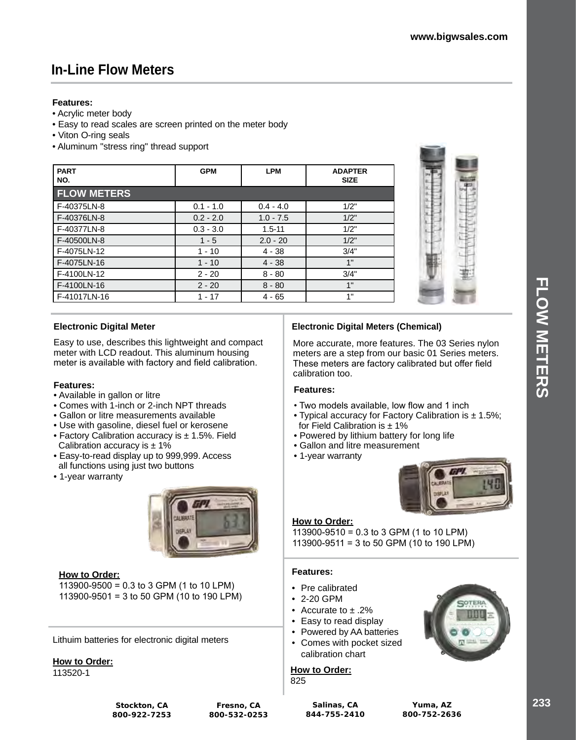# **In-Line Flow Meters**

### **Features:**

- Acrylic meter body
- Easy to read scales are screen printed on the meter body
- Viton O-ring seals
- Aluminum "stress ring" thread support

| <b>PART</b><br>NO. | <b>GPM</b>  | <b>LPM</b>  | <b>ADAPTER</b><br><b>SIZE</b> |
|--------------------|-------------|-------------|-------------------------------|
| <b>FLOW METERS</b> |             |             |                               |
| F-40375LN-8        | $0.1 - 1.0$ | $0.4 - 4.0$ | 1/2"                          |
| F-40376LN-8        | $0.2 - 2.0$ | $1.0 - 7.5$ | 1/2"                          |
| F-40377LN-8        | $0.3 - 3.0$ | $1.5 - 11$  | 1/2"                          |
| F-40500LN-8        | $1 - 5$     | $2.0 - 20$  | 1/2"                          |
| F-4075LN-12        | $1 - 10$    | $4 - 38$    | 3/4"                          |
| F-4075LN-16        | $1 - 10$    | $4 - 38$    | 1"                            |
| F-4100LN-12        | $2 - 20$    | $8 - 80$    | 3/4"                          |
| F-4100LN-16        | $2 - 20$    | $8 - 80$    | 1"                            |
| F-41017LN-16       | $1 - 17$    | $4 - 65$    | 1"                            |

### **Electronic Digital Meter**

Easy to use, describes this lightweight and compact meter with LCD readout. This aluminum housing meter is available with factory and field calibration.

### **Features:**

- Available in gallon or litre
- Comes with 1-inch or 2-inch NPT threads
- Gallon or litre measurements available
- Use with gasoline, diesel fuel or kerosene
- Factory Calibration accuracy is ± 1.5%. Field Calibration accuracy is  $\pm$  1%
- Easy-to-read display up to 999,999. Access all functions using just two buttons
- 1-year warranty



#### **How to Order:**

113900-9500 = 0.3 to 3 GPM (1 to 10 LPM) 113900-9501 = 3 to 50 GPM (10 to 190 LPM)

Lithuim batteries for electronic digital meters

**How to Order:**

113520-1

**Stockton, CA 800-922-7253**

#### **Salinas, CA 844-755-2410**



### **Electronic Digital Meters (Chemical)**

More accurate, more features. The 03 Series nylon meters are a step from our basic 01 Series meters. These meters are factory calibrated but offer field calibration too.

### **Features:**

- Two models available, low flow and 1 inch
- Typical accuracy for Factory Calibration is  $\pm$  1.5%; for Field Calibration is  $\pm$  1%
- Powered by lithium battery for long life
- Gallon and litre measurement
- 1-year warranty



### **How to Order:**

113900-9510 = 0.3 to 3 GPM (1 to 10 LPM) 113900-9511 = 3 to 50 GPM (10 to 190 LPM)

### **Features:**

- Pre calibrated
- 2-20 GPM

**How to Order:** 

825

- Accurate to ± .2%
- Easy to read display
- Powered by AA batteries
- Comes with pocket sized calibration chart